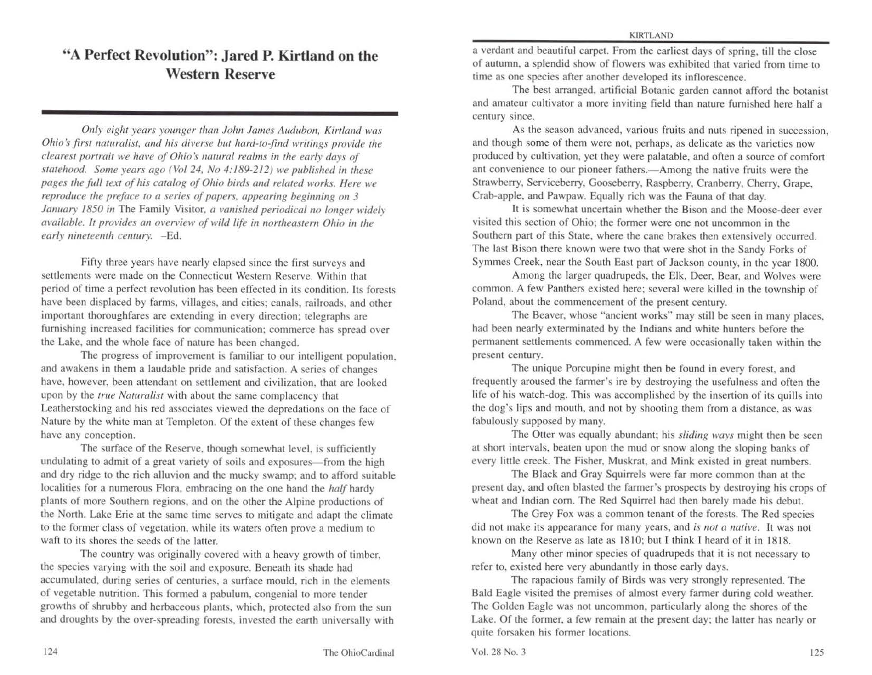# **"A Perfect Revolution": Jared P. Kirtland on the Western Reserve**

*Only eight years younger than John James Audubon, Kirtland was Ohio's first naturalist, and his diverse but hard-to-find writings provide the clearest portrait we have of Ohio's natural realms in the early days of statehood. Some years ago (Vol 24, No 4:189-212) we published in these pages the full 1ex1 of his catalog of Ohio birds and related works. Here we reproduce the preface to a series of papers, appearing beginning on 3 January 1850 in The Family Visitor, a vanished periodical no longer widely available. It provides an overview of wild life in northeastern Ohio in the* early nineteenth century. - Ed.

Fifty three years have nearly elapsed since the first surveys and settlements were made on the Connecticut Western Reserve. Within that period of time a perfect revolution has been effected in its condition. Its forests have been displaced by farms, villages, and cities; canals, railroads, and other important thoroughfares are extending in every direction; telegraphs are furnishing increased facilities for communication: commerce has spread over the Lake. and the whole face of nature has been changed.

The progress of improvement is familiar to our intelligent population. and awakens in them a laudable pride and satisfaction. A series of changes have, however, been attendant on settlement and civilization. that arc looked upon by the *true Naturalist* with about the same complacency that Leatherstocking and his red associates viewed the depredations on the face of Nature by the white man at Templeton. Of the extent of these changes few have any conception.

The surface of the Reserve, though somewhat level, is sufficiently undulating to admit of a great variety of soils and exposures-from the high and dry ridge to the rich alluvion and the mucky swamp: and to afford suitable localities for a numerous Flora, embracing on the one hand the *half* hardy plants of more Southern regions, and on the other the Alpine productions of the North. Lake Erie at the same time serves to mitigate and adapt the climate to the former class of vegetation, while its waters often prove a medium to waft to its shores the seeds of the latter.

The country was originally covered with a heavy growth of timber, the species varying with the soil and exposure. Beneath its shade had accumulated, during series of centuries, a surface mould, rich in the clements of vegetable nutrition. This formed a pabulum, congenial to more tender growths of shrubby and herbaceous plants, which, protected also from the sun and droughts by the over-spreading forests. invested the earth universally with a verdant and beautiful carpet. From the earliest days of spring, till the close of autumn, a splendid show of flowers was exhibited that varied from time to time as one species after another developed its inflorescence.

The best arranged, artificial Botanic garden cannot afford the botanist and amateur cultivator a more inviting field than nature furnished here half a century since.

As the season advanced, various fruits and nuts ripened in succession, and though some of them were not, perhaps, as delicate as the varieties now produced by cultivation, yet they were palatable, and often a source of comfort ant convenience to our pioneer fathers.—Among the native fruits were the Strawberry. Serviceberry, Gooseberry, Raspberry, Cranberry, Cherry. Grape, Crab-apple, and Pawpaw. Equally rich was the Fauna of that day.

It is somewhat uncertain whether the Bison and the Moose-deer ever visited this section of Ohio; the former were one not uncommon in the Southern part of this State, where the cane brakes then extensively occurred. The last Bison there known were two that were shot in the Sandy Forks of Symmes Creek, near the South East part of Jackson county, in the year 1800.

Among the larger quadrupeds, the Elk, Deer, Bear, and Wolves were common. A few Panthers existed here; several were killed in the township of Poland, about the commencement of the present century.

The Beaver, whose "ancient works" may still be seen in many places, had been nearly exterminated by the Indians and white hunters before the permanent settlements commenced. A few were occasionally taken within the present century.

The unique Porcupine might then be found in every forest, and frequently aroused the farmer's ire by destroying the usefulness and often the life of his watch-dog. This was accomplished by the insertion of its quills into the dog's lips and mouth, and not by shooting them from a distance, as was fabulously supposed by many.

The Otter was equally abundant; his *sliding ways* might then be seen at short intervals, beaten upon the mud or snow along the sloping banks of every little creek. The Fisher, Muskrat, and Mink existed in great numbers.

The Black and Gray Squirrels were far more common than at the present day. and often blasted the farmer's prospects by destroying his crops of wheat and Indian com. The Red Squirrel had then barely made his debut.

The Grey Fox was a common tenant of the forests. The Red species did not make its appearance for many years, and *is nor a native.* Jt was not known on the Reserve as late as 1810; but I think I heard of it in 1818.

Many other minor species of quadrupeds that it is not necessary to refer to, existed here very abundantly in those early days.

The rapacious family of Birds was very strongly represented. The Bald Eagle visited the premises of almost every farmer during cold weather. The Golden Eagle was not uncommon. particularly along the shores of the Lake. Of the former, a few remain at the present day; the latter has nearly or quite forsaken his former locations.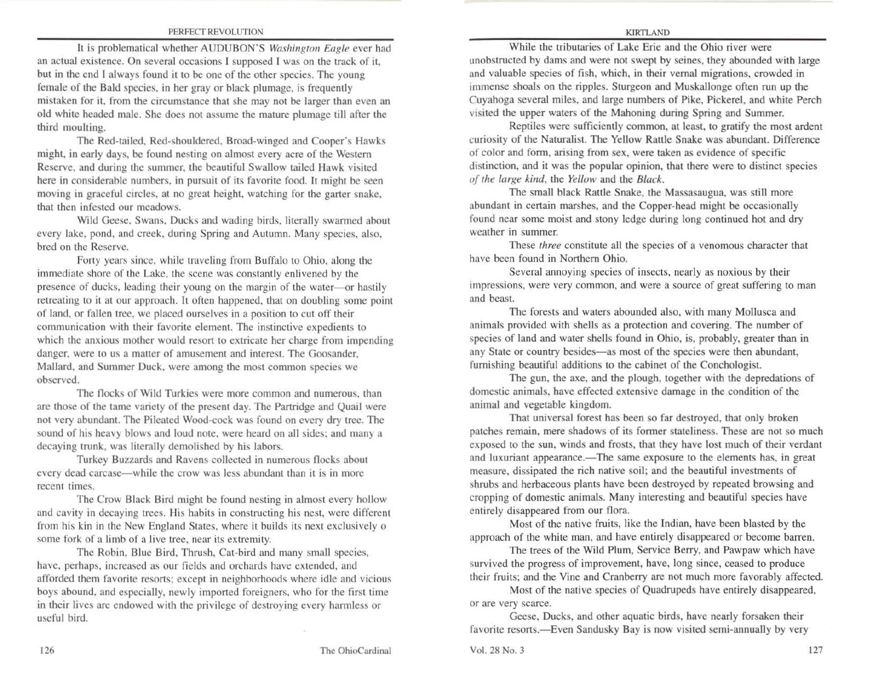#### PERFECT REVOLUTION

11 is problematical whether AUDUBON'S *Washington Eagle* ever had an actual existence. On several occasions I supposed I was on the track of it, but in the end I always found it to be one of the other species. The young female of the Bald species, in her gray or black plumage, is frequently mistaken for it, from the circumstance that she may not be larger than even an old white headed male. She docs not assume the mature plumage till after the third moulting.

The Red-tailed, Red-shouldered, Broad-winged and Cooper's Hawks might, in early days, be found nesting on almost every acre of the Western Reserve. and during the summer. the beautiful Swallow tailed Hawk visited here in considerable numbers, in pursuit of its favorite food. 11 might be seen moving in graceful circles, at no great height, watching for the garter snake, that then infested our meadows.

Wild Geese, Swans. Ducks and wading birds, literally swarmed about every lake, pond, and creek, during Spring and Autumn. Many species, also. bred on the Reserve.

Forty years since, while traveling from Buffalo to Ohio, along the immediate shore of the Lake, the scene was constantly enlivened by the presence of ducks, leading their young on the margin of the water-or hastily retreating to it at our approach. It often happened, that on doubling some point of land, or fallen tree, we placed ourselves in a position to cut off their communication with their favorite element. The instinctive expedients to which the anxious mother would resort to extricate her charge from impending danger, were to us a matter of amusement and interest. The Goosander, Mallard, and Summer Duck, were among the most common species we observed.

The flocks of Wild Turkics were more common and numerous. than are those of the tame variety of the present day. The Partridge and Quail were not very abundant. The Pileated Wood-cock was found on every dry tree. The sound of his heavy blows and loud note, were heard on all sides; and many a decaying trunk, was literally demolished by his labors.

Turkey Buzzards and Ravens collected in numerous flocks about every dead carcase—while the crow was less abundant than it is in more recent times.

The Crow Black Bird might be found nesting in almost every hollow and cavity in decaying trees. His habits in constructing his nest, were different from his kin in the New England States, where it builds its next exclusively o some fork of a limb of a live tree, near its extremity.

The Robin, Blue Bird, Thrush, Cat-bird and many small species, have, perhaps, increased as our fields and orchards have extended, and afforded them favorite resorts; except in neighborhoods where idle and vicious boys abound, and especially, newly imported foreigners, who for the first time in their lives are endowed with the privilege of destroying every harmless or useful bird.

#### KIRTLAND

While the tributaries of Lake Erie and the Ohio river were unobstructed by dams and were not swept by seines, they abounded with large and valuable species of fish, which, in their vernal migrations, crowded in immense shoals on the ripples. Sturgeon and Muskallonge often run up the Cuyahoga several miles, and large numbers of Pike, Pickerel, and white Perch visited the upper waters of the Mahoning during Spring and Summer.

Reptiles were sufficiently common, at least, to gratify the most ardent curiosity of the Naturalist. The Yellow Rattle Snake was abundant. Difference of color and form, arising from sex, were taken as evidence of specific distinction, and it was the popular opinion, that there were to distinct species *of the large kind,* the *Yellow* and the *Black.* 

The small black Rattle Snake, the Massasaugua, was still more abundant in certain marshes, and the Copper-head might be occasionally found near some moist and stony ledge during long continued hot and dry weather in summer.

These *three* constitute all the species of a venomous character that have been found in Northern Ohio.

Several annoying species of insects, nearly as noxious by their impressions, were very common, and were a source of great suffering to man and beast.

The forests and waters abounded also, with many Mollusca and animals provided with shells as a protection and covering. The number of species of land and water shells found in Ohio, is, probably, greater than in any State or country besides-as most of the species were then abundant, furnishing beautiful additions to the cabinet of the Conchologist.

The gun, the axe, and the plough, together with the depredations of domestic animals, have effected extensive damage in the condition of the animal and vegetable kingdom.

That unjversal forest has been so far destroyed, that only broken patches remain, mere shadows of its former stateliness. These are not so much exposed to the sun, winds and frosts, that they have lost much of their verdant and luxuriant appearance.—The same exposure to the elements has, in great measure, dissipated the rich native soil; and the beautiful investments of shrubs and herbaceous plants have been destroyed by repeated browsing and cropping of domestic animals. Many interesting and beautiful species have entirely disappeared from our flora.

Most of the native fruits, like the Indian, have been blasted by the approach of the white man, and have entirely disappeared or become barren.

The trees of the Wild Plum, Service Berry, and Pawpaw which have survived the progress of improvement, have, long since, ceased to produce their fruits; and the Vine and Cranberry are not much more favorably affected.

Most of the native species of Quadrupeds have entirely disappeared, or are very scarce.

Geese, Ducks, and other aquatic birds, have nearly forsaken their favorite resorts.-Even Sandusky Bay is now visited semi-annually by very